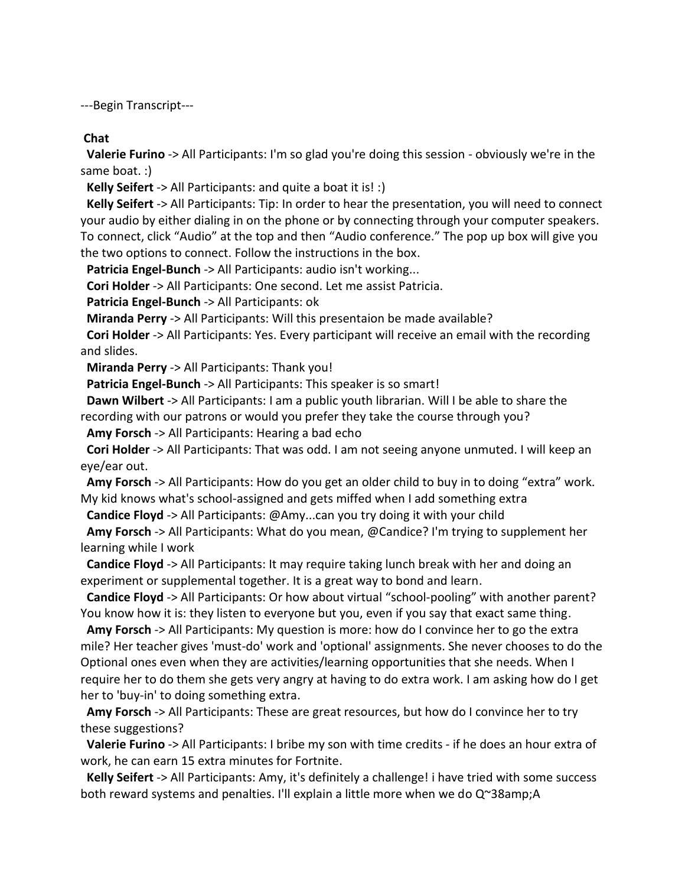---Begin Transcript---

**Chat**

**Valerie Furino** -> All Participants: I'm so glad you're doing this session - obviously we're in the same boat. :)

**Kelly Seifert** -> All Participants: and quite a boat it is! :)

**Kelly Seifert** -> All Participants: Tip: In order to hear the presentation, you will need to connect your audio by either dialing in on the phone or by connecting through your computer speakers. To connect, click "Audio" at the top and then "Audio conference." The pop up box will give you the two options to connect. Follow the instructions in the box.

**Patricia Engel-Bunch** -> All Participants: audio isn't working...

**Cori Holder** -> All Participants: One second. Let me assist Patricia.

**Patricia Engel-Bunch** -> All Participants: ok

**Miranda Perry** -> All Participants: Will this presentaion be made available?

**Cori Holder** -> All Participants: Yes. Every participant will receive an email with the recording and slides.

**Miranda Perry** -> All Participants: Thank you!

**Patricia Engel-Bunch** -> All Participants: This speaker is so smart!

**Dawn Wilbert** -> All Participants: I am a public youth librarian. Will I be able to share the recording with our patrons or would you prefer they take the course through you?

**Amy Forsch** -> All Participants: Hearing a bad echo

**Cori Holder** -> All Participants: That was odd. I am not seeing anyone unmuted. I will keep an eye/ear out.

**Amy Forsch** -> All Participants: How do you get an older child to buy in to doing "extra" work. My kid knows what's school-assigned and gets miffed when I add something extra

**Candice Floyd** -> All Participants: @Amy...can you try doing it with your child

**Amy Forsch** -> All Participants: What do you mean, @Candice? I'm trying to supplement her learning while I work

**Candice Floyd** -> All Participants: It may require taking lunch break with her and doing an experiment or supplemental together. It is a great way to bond and learn.

**Candice Floyd** -> All Participants: Or how about virtual "school-pooling" with another parent? You know how it is: they listen to everyone but you, even if you say that exact same thing.

**Amy Forsch** -> All Participants: My question is more: how do I convince her to go the extra mile? Her teacher gives 'must-do' work and 'optional' assignments. She never chooses to do the Optional ones even when they are activities/learning opportunities that she needs. When I require her to do them she gets very angry at having to do extra work. I am asking how do I get her to 'buy-in' to doing something extra.

**Amy Forsch** -> All Participants: These are great resources, but how do I convince her to try these suggestions?

**Valerie Furino** -> All Participants: I bribe my son with time credits - if he does an hour extra of work, he can earn 15 extra minutes for Fortnite.

**Kelly Seifert** -> All Participants: Amy, it's definitely a challenge! i have tried with some success both reward systems and penalties. I'll explain a little more when we do Q~38amp;A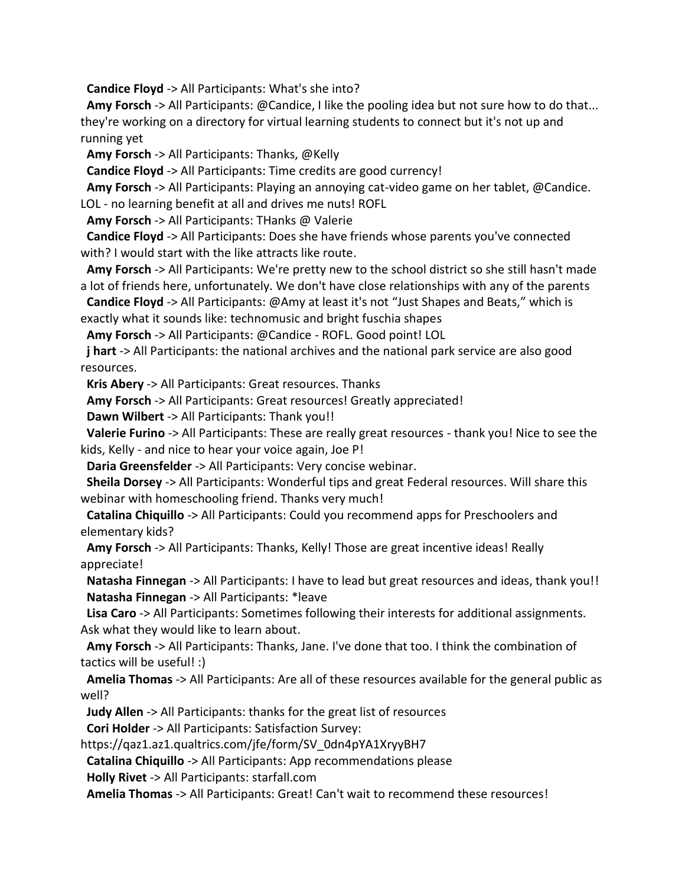**Candice Floyd** -> All Participants: What's she into?

**Amy Forsch** -> All Participants: @Candice, I like the pooling idea but not sure how to do that... they're working on a directory for virtual learning students to connect but it's not up and running yet

**Amy Forsch** -> All Participants: Thanks, @Kelly

**Candice Floyd** -> All Participants: Time credits are good currency!

**Amy Forsch** -> All Participants: Playing an annoying cat-video game on her tablet, @Candice. LOL - no learning benefit at all and drives me nuts! ROFL

**Amy Forsch** -> All Participants: THanks @ Valerie

**Candice Floyd** -> All Participants: Does she have friends whose parents you've connected with? I would start with the like attracts like route.

**Amy Forsch** -> All Participants: We're pretty new to the school district so she still hasn't made a lot of friends here, unfortunately. We don't have close relationships with any of the parents

**Candice Floyd** -> All Participants: @Amy at least it's not "Just Shapes and Beats," which is exactly what it sounds like: technomusic and bright fuschia shapes

**Amy Forsch** -> All Participants: @Candice - ROFL. Good point! LOL

**j hart** -> All Participants: the national archives and the national park service are also good resources.

**Kris Abery** -> All Participants: Great resources. Thanks

**Amy Forsch** -> All Participants: Great resources! Greatly appreciated!

**Dawn Wilbert** -> All Participants: Thank you!!

**Valerie Furino** -> All Participants: These are really great resources - thank you! Nice to see the kids, Kelly - and nice to hear your voice again, Joe P!

**Daria Greensfelder** -> All Participants: Very concise webinar.

**Sheila Dorsey** -> All Participants: Wonderful tips and great Federal resources. Will share this webinar with homeschooling friend. Thanks very much!

**Catalina Chiquillo** -> All Participants: Could you recommend apps for Preschoolers and elementary kids?

**Amy Forsch** -> All Participants: Thanks, Kelly! Those are great incentive ideas! Really appreciate!

**Natasha Finnegan** -> All Participants: I have to lead but great resources and ideas, thank you!! **Natasha Finnegan** -> All Participants: \*leave

**Lisa Caro** -> All Participants: Sometimes following their interests for additional assignments. Ask what they would like to learn about.

**Amy Forsch** -> All Participants: Thanks, Jane. I've done that too. I think the combination of tactics will be useful! :)

**Amelia Thomas** -> All Participants: Are all of these resources available for the general public as well?

**Judy Allen** -> All Participants: thanks for the great list of resources

**Cori Holder** -> All Participants: Satisfaction Survey:

https://qaz1.az1.qualtrics.com/jfe/form/SV\_0dn4pYA1XryyBH7

**Catalina Chiquillo** -> All Participants: App recommendations please

**Holly Rivet** -> All Participants: starfall.com

**Amelia Thomas** -> All Participants: Great! Can't wait to recommend these resources!